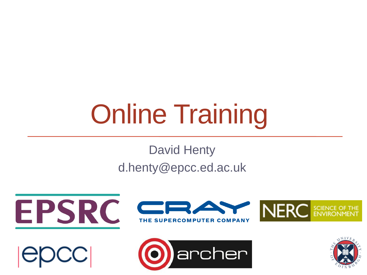# Online Training

#### David Henty d.henty@epcc.ed.ac.uk





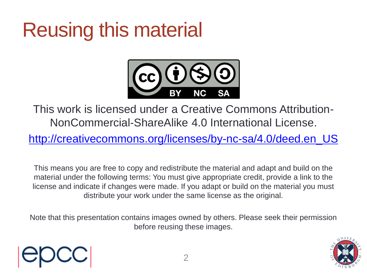### Reusing this material



This work is licensed under a Creative Commons Attribution-NonCommercial-ShareAlike 4.0 International License.

[http://creativecommons.org/licenses/by-nc-sa/4.0/deed.en\\_US](http://creativecommons.org/licenses/by-nc-sa/4.0/deed.en_US)

This means you are free to copy and redistribute the material and adapt and build on the material under the following terms: You must give appropriate credit, provide a link to the license and indicate if changes were made. If you adapt or build on the material you must distribute your work under the same license as the original.

Note that this presentation contains images owned by others. Please seek their permission before reusing these images.

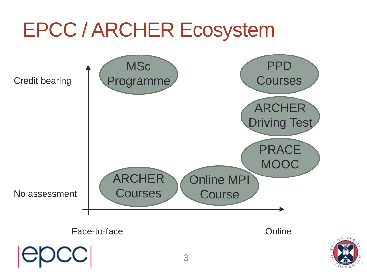#### EPCC / ARCHER Ecosystem Face-to-face **Online** No assessment Credit bearing **MSc** Programme ARCHER **Courses** ARCHER Driving Test PRACE **MOOC** Online MPI **Course** PPD **Courses**

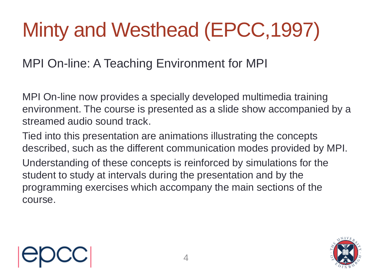# Minty and Westhead (EPCC,1997)

#### MPI On-line: A Teaching Environment for MPI

MPI On-line now provides a specially developed multimedia training environment. The course is presented as a slide show accompanied by a streamed audio sound track.

Tied into this presentation are animations illustrating the concepts described, such as the different communication modes provided by MPI. Understanding of these concepts is reinforced by simulations for the student to study at intervals during the presentation and by the programming exercises which accompany the main sections of the course.



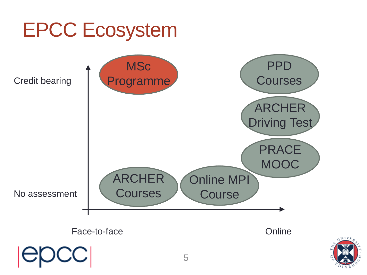

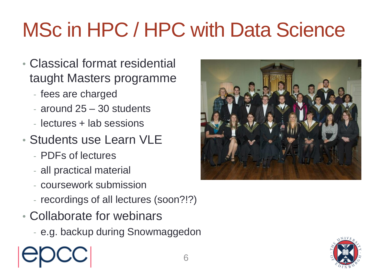# MSc in HPC / HPC with Data Science

- Classical format residential taught Masters programme
	- fees are charged
	- around 25 30 students
	- lectures + lab sessions
- Students use Learn VLE
	- PDFs of lectures
	- all practical material
	- coursework submission
	- recordings of all lectures (soon?!?)
- Collaborate for webinars
	- e.g. backup during Snowmaggedon



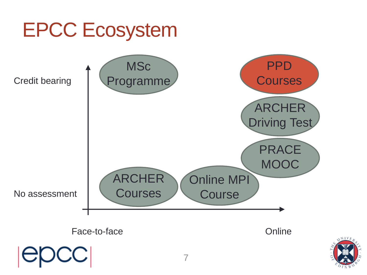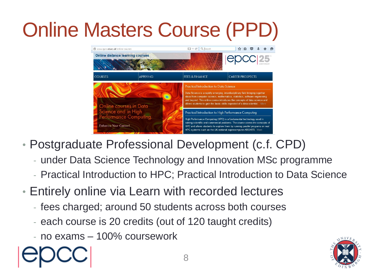# **Online Masters Course (PP**



- Postgraduate Professional Development (c.f. CPD)
	- under Data Science Technology and Innovation MSc programme
	- Practical Introduction to HPC; Practical Introduction to Data Science
- Entirely online via Learn with recorded lectures
	- fees charged; around 50 students across both courses
	- each course is 20 credits (out of 120 taught credits)
	- no exams 100% coursework



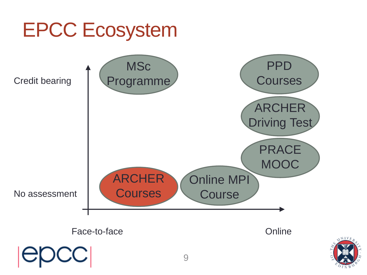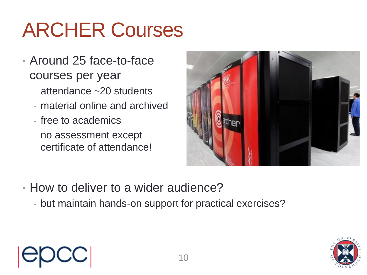### ARCHER Courses

- Around 25 face-to-face courses per year
	- attendance ~20 students
	- material online and archived
	- free to academics
	- no assessment except certificate of attendance!



- How to deliver to a wider audience?
	- but maintain hands-on support for practical exercises?



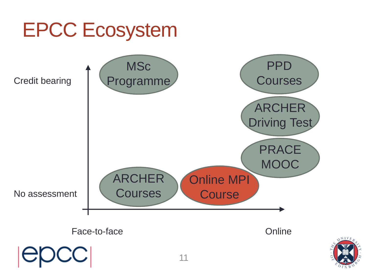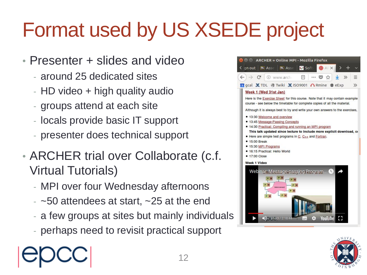# Format used by US XSEDE project

- Presenter + slides and video
	- around 25 dedicated sites
	- HD video + high quality audio
	- groups attend at each site
	- locals provide basic IT support
	- presenter does technical support
- ARCHER trial over Collaborate (c.f. Virtual Tutorials)
	- MPI over four Wednesday afternoons
	- $-$  ~50 attendees at start, ~25 at the end
	- a few groups at sites but mainly individuals
	- perhaps need to revisit practical support



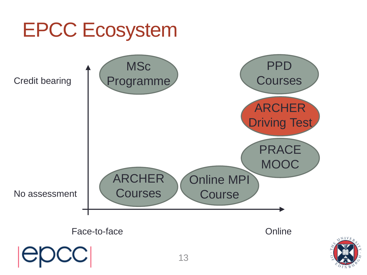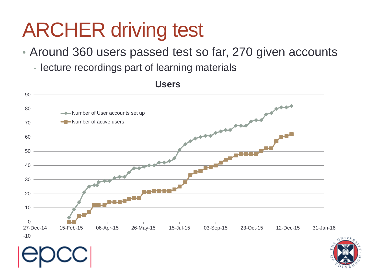#### ARCHER driving test

- Around 360 users passed test so far, 270 given accounts
	- lecture recordings part of learning materials



**Users**

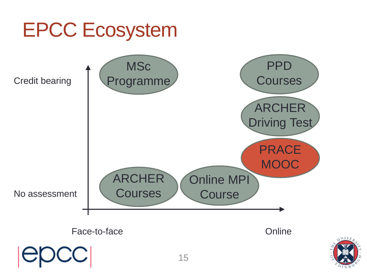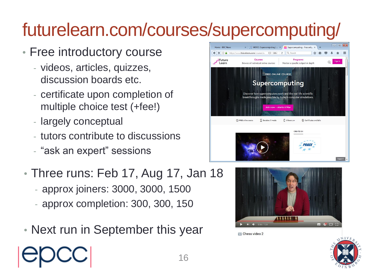#### futurelearn.com/courses/supercomputing/

- Free introductory course
	- videos, articles, quizzes, discussion boards etc.
	- certificate upon completion of multiple choice test (+fee!)
	- largely conceptual
	- tutors contribute to discussions
	- "ask an expert" sessions
- Three runs: Feb 17, Aug 17, Jan 18
	- approx joiners: 3000, 3000, 1500
	- approx completion: 300, 300, 150
- Next run in September this year





Chess video 2